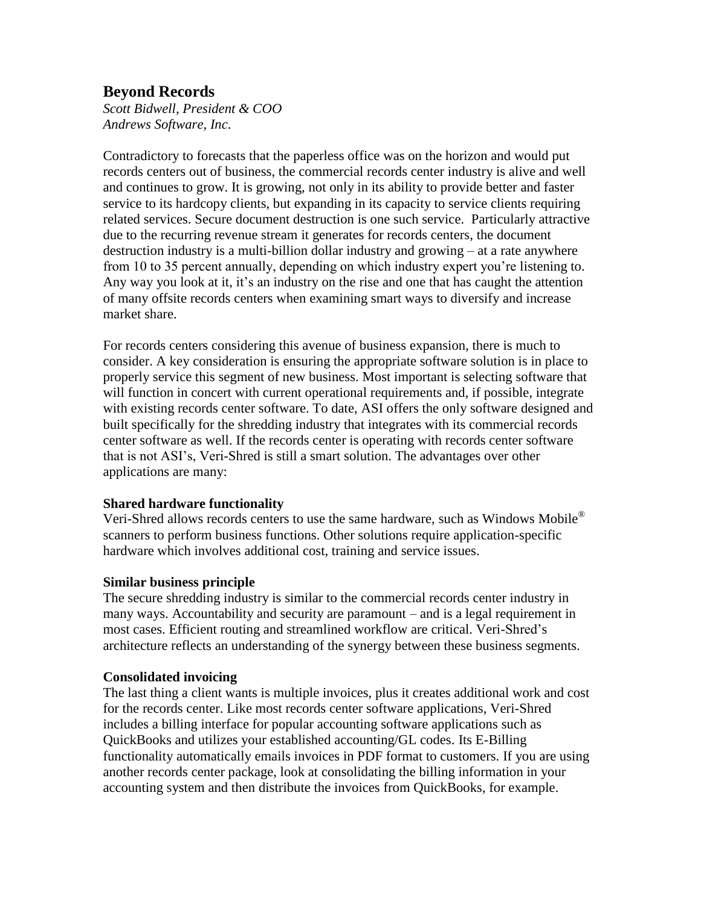# **Beyond Records**

*Scott Bidwell, President & COO Andrews Software, Inc*.

Contradictory to forecasts that the paperless office was on the horizon and would put records centers out of business, the commercial records center industry is alive and well and continues to grow. It is growing, not only in its ability to provide better and faster service to its hardcopy clients, but expanding in its capacity to service clients requiring related services. Secure document destruction is one such service. Particularly attractive due to the recurring revenue stream it generates for records centers, the document destruction industry is a multi-billion dollar industry and growing – at a rate anywhere from 10 to 35 percent annually, depending on which industry expert you're listening to. Any way you look at it, it's an industry on the rise and one that has caught the attention of many offsite records centers when examining smart ways to diversify and increase market share.

For records centers considering this avenue of business expansion, there is much to consider. A key consideration is ensuring the appropriate software solution is in place to properly service this segment of new business. Most important is selecting software that will function in concert with current operational requirements and, if possible, integrate with existing records center software. To date, ASI offers the only software designed and built specifically for the shredding industry that integrates with its commercial records center software as well. If the records center is operating with records center software that is not ASI's, Veri-Shred is still a smart solution. The advantages over other applications are many:

### **Shared hardware functionality**

Veri-Shred allows records centers to use the same hardware, such as Windows Mobile® scanners to perform business functions. Other solutions require application-specific hardware which involves additional cost, training and service issues.

## **Similar business principle**

The secure shredding industry is similar to the commercial records center industry in many ways. Accountability and security are paramount – and is a legal requirement in most cases. Efficient routing and streamlined workflow are critical. Veri-Shred's architecture reflects an understanding of the synergy between these business segments.

### **Consolidated invoicing**

The last thing a client wants is multiple invoices, plus it creates additional work and cost for the records center. Like most records center software applications, Veri-Shred includes a billing interface for popular accounting software applications such as QuickBooks and utilizes your established accounting/GL codes. Its E-Billing functionality automatically emails invoices in PDF format to customers. If you are using another records center package, look at consolidating the billing information in your accounting system and then distribute the invoices from QuickBooks, for example.